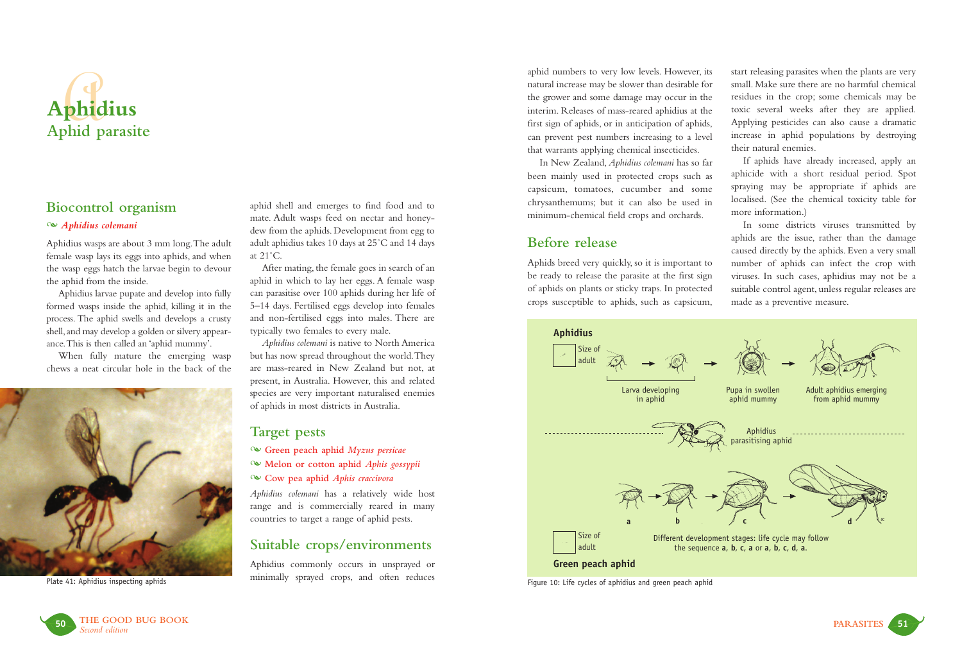

# **Biocontrol organism**

### - *Aphidius colemani*

Aphidius wasps are about 3 mm long.The adult female wasp lays its eggs into aphids, and when the wasp eggs hatch the larvae begin to devour the aphid from the inside.

Aphidius larvae pupate and develop into fully formed wasps inside the aphid, killing it in the process. The aphid swells and develops a crusty shell,and may develop a golden or silvery appearance.This is then called an 'aphid mummy'.

When fully mature the emerging wasp chews a neat circular hole in the back of the



Plate 41: Aphidius inspecting aphids

aphid shell and emerges to find food and to mate. Adult wasps feed on nectar and honeydew from the aphids. Development from egg to adult aphidius takes 10 days at 25˚C and 14 days at 21˚C.

After mating, the female goes in search of an aphid in which to lay her eggs. A female wasp can parasitise over 100 aphids during her life of 5–14 days. Fertilised eggs develop into females and non-fertilised eggs into males. There are typically two females to every male.

*Aphidius colemani* is native to North America but has now spread throughout the world.They are mass-reared in New Zealand but not, at present, in Australia. However, this and related species are very important naturalised enemies of aphids in most districts in Australia.

### **Target pests**

- **Green peach aphid** *Myzus persicae*
- **Melon or cotton aphid** *Aphis gossypii*
- **Cow pea aphid** *Aphis craccivora*

*Aphidius colemani* has a relatively wide host range and is commercially reared in many countries to target a range of aphid pests.

## **Suitable crops/environments**

Aphidius commonly occurs in unsprayed or minimally sprayed crops, and often reduces aphid numbers to very low levels. However, its natural increase may be slower than desirable for the grower and some damage may occur in the interim. Releases of mass-reared aphidius at the first sign of aphids, or in anticipation of aphids, can prevent pest numbers increasing to a level that warrants applying chemical insecticides.

In New Zealand, *Aphidius colemani* has so far been mainly used in protected crops such as capsicum, tomatoes, cucumber and some chrysanthemums; but it can also be used in minimum-chemical field crops and orchards.

# **Before release**

Aphids breed very quickly, so it is important to be ready to release the parasite at the first sign of aphids on plants or sticky traps. In protected crops susceptible to aphids, such as capsicum, start releasing parasites when the plants are very small. Make sure there are no harmful chemical residues in the crop; some chemicals may be toxic several weeks after they are applied. Applying pesticides can also cause a dramatic increase in aphid populations by destroying their natural enemies.

If aphids have already increased, apply an aphicide with a short residual period. Spot spraying may be appropriate if aphids are localised. (See the chemical toxicity table for more information.)

In some districts viruses transmitted by aphids are the issue, rather than the damage caused directly by the aphids. Even a very small number of aphids can infect the crop with viruses. In such cases, aphidius may not be a suitable control agent, unless regular releases are made as a preventive measure.



Figure 10: Life cycles of aphidius and green peach aphid



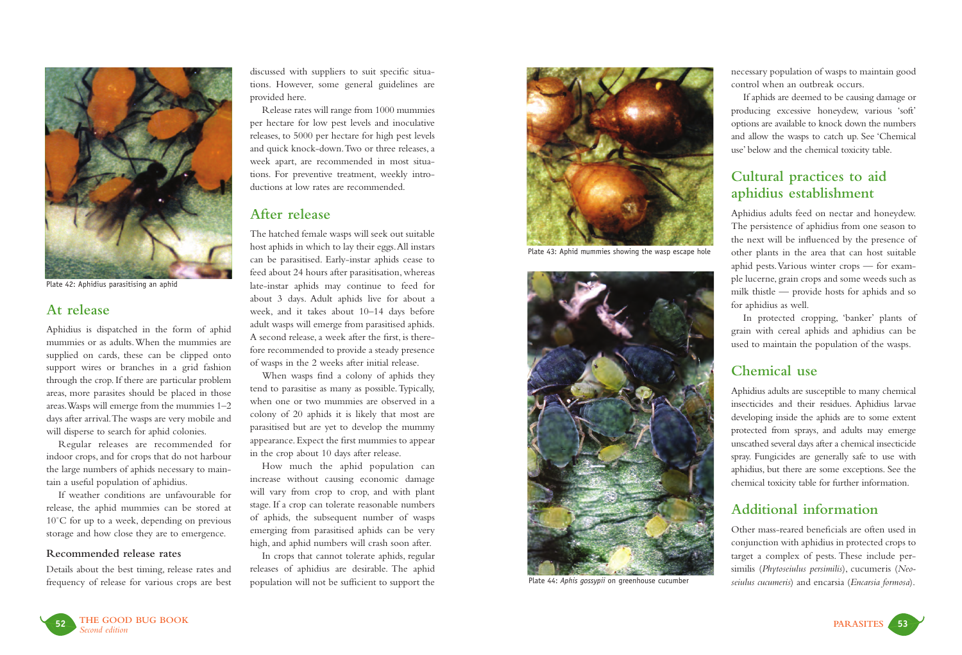

Plate 42: Aphidius parasitising an aphid

### **At release**

Aphidius is dispatched in the form of aphid mummies or as adults.When the mummies are supplied on cards, these can be clipped onto support wires or branches in a grid fashion through the crop. If there are particular problem areas, more parasites should be placed in those areas.Wasps will emerge from the mummies 1–2 days after arrival.The wasps are very mobile and will disperse to search for aphid colonies.

Regular releases are recommended for indoor crops, and for crops that do not harbour the large numbers of aphids necessary to maintain a useful population of aphidius.

If weather conditions are unfavourable for release, the aphid mummies can be stored at 10°C for up to a week, depending on previous storage and how close they are to emergence.

#### **Recommended release rates**

Details about the best timing, release rates and frequency of release for various crops are best discussed with suppliers to suit specific situations. However, some general guidelines are provided here.

Release rates will range from 1000 mummies per hectare for low pest levels and inoculative releases, to 5000 per hectare for high pest levels and quick knock-down.Two or three releases, a week apart, are recommended in most situations. For preventive treatment, weekly introductions at low rates are recommended.

### **After release**

The hatched female wasps will seek out suitable host aphids in which to lay their eggs.All instars can be parasitised. Early-instar aphids cease to feed about 24 hours after parasitisation, whereas late-instar aphids may continue to feed for about 3 days. Adult aphids live for about a week, and it takes about 10–14 days before adult wasps will emerge from parasitised aphids. A second release, a week after the first, is therefore recommended to provide a steady presence of wasps in the 2 weeks after initial release.

When wasps find a colony of aphids they tend to parasitise as many as possible.Typically, when one or two mummies are observed in a colony of 20 aphids it is likely that most are parasitised but are yet to develop the mummy appearance. Expect the first mummies to appear in the crop about 10 days after release.

How much the aphid population can increase without causing economic damage will vary from crop to crop, and with plant stage. If a crop can tolerate reasonable numbers of aphids, the subsequent number of wasps emerging from parasitised aphids can be very high, and aphid numbers will crash soon after.

In crops that cannot tolerate aphids, regular releases of aphidius are desirable. The aphid population will not be sufficient to support the



Plate 43: Aphid mummies showing the wasp escape hole



Plate 44: *Aphis gossypii* on greenhouse cucumber

necessary population of wasps to maintain good control when an outbreak occurs.

If aphids are deemed to be causing damage or producing excessive honeydew, various 'soft' options are available to knock down the numbers and allow the wasps to catch up. See 'Chemical use' below and the chemical toxicity table.

# **Cultural practices to aid aphidius establishment**

Aphidius adults feed on nectar and honeydew. The persistence of aphidius from one season to the next will be influenced by the presence of other plants in the area that can host suitable aphid pests.Various winter crops — for example lucerne, grain crops and some weeds such as milk thistle — provide hosts for aphids and so for aphidius as well.

In protected cropping, 'banker' plants of grain with cereal aphids and aphidius can be used to maintain the population of the wasps.

## **Chemical use**

Aphidius adults are susceptible to many chemical insecticides and their residues. Aphidius larvae developing inside the aphids are to some extent protected from sprays, and adults may emerge unscathed several days after a chemical insecticide spray. Fungicides are generally safe to use with aphidius, but there are some exceptions. See the chemical toxicity table for further information.

# **Additional information**

Other mass-reared beneficials are often used in conjunction with aphidius in protected crops to target a complex of pests. These include persimilis (*Phytoseiulus persimilis*), cucumeris (*Neoseiulus cucumeris*) and encarsia (*Encarsia formosa*).